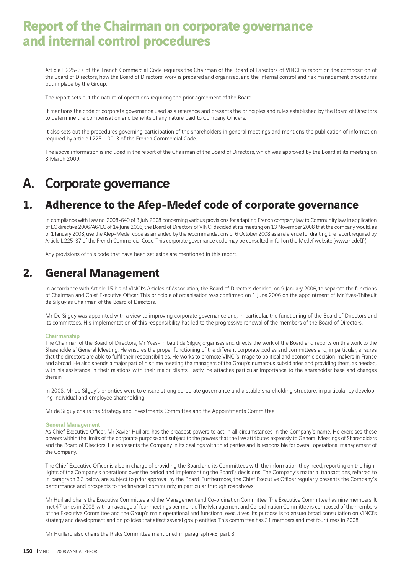# **Report of the Chairman on corporate governance and internal control procedures**

Article L.225-37 of the French Commercial Code requires the Chairman of the Board of Directors of VINCI to report on the composition of the Board of Directors, how the Board of Directors' work is prepared and organised, and the internal control and risk management procedures put in place by the Group.

The report sets out the nature of operations requiring the prior agreement of the Board.

It mentions the code of corporate governance used as a reference and presents the principles and rules established by the Board of Directors to determine the compensation and benefits of any nature paid to Company Officers.

It also sets out the procedures governing participation of the shareholders in general meetings and mentions the publication of information required by article L225-100-3 of the French Commercial Code.

The above information is included in the report of the Chairman of the Board of Directors, which was approved by the Board at its meeting on 3 March 2009.

# A. Corporate governance

## **1. Adherence to the Afep-Medef code of corporate governance**

In compliance with Law no. 2008-649 of 3 July 2008 concerning various provisions for adapting French company law to Community law in application of EC directive 2006/46/EC of 14 June 2006, the Board of Directors of VINCI decided at its meeting on 13 November 2008 that the company would, as of 1 January 2008, use the Afep-Medef code as amended by the recommendations of 6 October 2008 as a reference for drafting the report required by Article L.225-37 of the French Commercial Code. This corporate governance code may be consulted in full on the Medef website (www.medef.fr).

Any provisions of this code that have been set aside are mentioned in this report.

## **2. General Management**

In accordance with Article 15 bis of VINCI's Articles of Association, the Board of Directors decided, on 9 January 2006, to separate the functions of Chairman and Chief Executive Officer. This principle of organisation was confirmed on 1 June 2006 on the appointment of Mr Yves-Thibault de Silguy as Chairman of the Board of Directors.

Mr De Silguy was appointed with a view to improving corporate governance and, in particular, the functioning of the Board of Directors and its committees. His implementation of this responsibility has led to the progressive renewal of the members of the Board of Directors.

### Chairmanship

The Chairman of the Board of Directors, Mr Yves-Thibault de Silguy, organises and directs the work of the Board and reports on this work to the Shareholders' General Meeting. He ensures the proper functioning of the different corporate bodies and committees and, in particular, ensures that the directors are able to fulfi l their responsibilities. He works to promote VINCI's image to political and economic decision-makers in France and abroad. He also spends a major part of his time meeting the managers of the Group's numerous subsidiaries and providing them, as needed, with his assistance in their relations with their major clients. Lastly, he attaches particular importance to the shareholder base and changes therein.

In 2008, Mr de Silguy's priorities were to ensure strong corporate governance and a stable shareholding structure, in particular by developing individual and employee shareholding.

Mr de Silguy chairs the Strategy and Investments Committee and the Appointments Committee.

### General Management

As Chief Executive Officer, Mr Xavier Huillard has the broadest powers to act in all circumstances in the Company's name. He exercises these powers within the limits of the corporate purpose and subject to the powers that the law attributes expressly to General Meetings of Shareholders and the Board of Directors. He represents the Company in its dealings with third parties and is responsible for overall operational management of the Company.

The Chief Executive Officer is also in charge of providing the Board and its Committees with the information they need, reporting on the highlights of the Company's operations over the period and implementing the Board's decisions. The Company's material transactions, referred to in paragraph 3.3 below, are subject to prior approval by the Board. Furthermore, the Chief Executive Officer regularly presents the Company's performance and prospects to the financial community, in particular through roadshows.

Mr Huillard chairs the Executive Committee and the Management and Co-ordination Committee. The Executive Committee has nine members. It met 47 times in 2008, with an average of four meetings per month. The Management and Co-ordination Committee is composed of the members of the Executive Committee and the Group's main operational and functional executives. Its purpose is to ensure broad consultation on VINCI's strategy and development and on policies that affect several group entities. This committee has 31 members and met four times in 2008.

Mr Huillard also chairs the Risks Committee mentioned in paragraph 4.3, part B.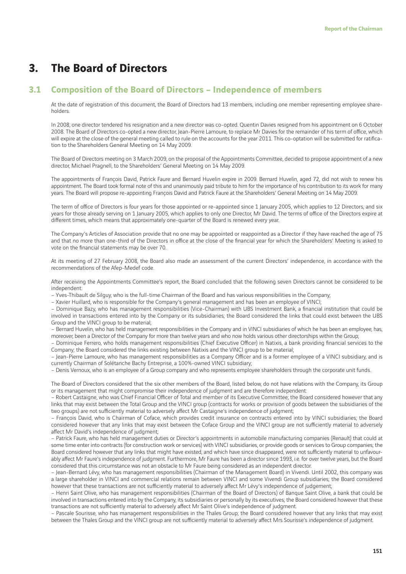## **3. The Board of Directors**

## **3.1 Composition of the Board of Directors – Independence of members**

At the date of registration of this document, the Board of Directors had 13 members, including one member representing employee shareholders.

In 2008, one director tendered his resignation and a new director was co-opted. Quentin Davies resigned from his appointment on 6 October 2008. The Board of Directors co-opted a new director, Jean-Pierre Lamoure, to replace Mr Davies for the remainder of his term of office, which will expire at the close of the general meeting called to rule on the accounts for the year 2011. This co-optation will be submitted for ratification to the Shareholders General Meeting on 14 May 2009.

The Board of Directors meeting on 3 March 2009, on the proposal of the Appointments Committee, decided to propose appointment of a new director, Michael Pragnell, to the Shareholders' General Meeting on 14 May 2009.

The appointments of François David, Patrick Faure and Bernard Huvelin expire in 2009. Bernard Huvelin, aged 72, did not wish to renew his appointment. The Board took formal note of this and unanimously paid tribute to him for the importance of his contribution to its work for many years. The Board will propose re-appointing François David and Patrick Faure at the Shareholders' General Meeting on 14 May 2009.

The term of office of Directors is four years for those appointed or re-appointed since 1 January 2005, which applies to 12 Directors, and six years for those already serving on 1 January 2005, which applies to only one Director, Mr David. The terms of office of the Directors expire at different times, which means that approximately one-quarter of the Board is renewed every year.

The Company's Articles of Association provide that no one may be appointed or reappointed as a Director if they have reached the age of 75 and that no more than one-third of the Directors in office at the close of the financial year for which the Shareholders' Meeting is asked to vote on the financial statements may be over 70.

At its meeting of 27 February 2008, the Board also made an assessment of the current Directors' independence, in accordance with the recommendations of the Afep-Medef code.

After receiving the Appointments Committee's report, the Board concluded that the following seven Directors cannot be considered to be independent:

– Yves-Thibault de Silguy, who is the full-time Chairman of the Board and has various responsibilities in the Company;

– Xavier Huillard, who is responsible for the Company's general management and has been an employee of VINCI;

– Dominique Bazy, who has management responsibilities (Vice-Chairman) with UBS Investment Bank, a fi nancial institution that could be involved in transactions entered into by the Company or its subsidiaries; the Board considered the links that could exist between the UBS Group and the VINCI group to be material;

– Bernard Huvelin, who has held management responsibilities in the Company and in VINCI subsidiaries of which he has been an employee, has, moreover, been a Director of the Company for more than twelve years and who now holds various other directorships within the Group;

– Dominique Ferrero, who holds management responsibilities (Chief Executive Officer) in Natixis, a bank providing financial services to the Company; the Board considered the links existing between Natixis and the VINCI group to be material;

– Jean-Pierre Lamoure, who has management responsibilities as a Company Officer and is a former employee of a VINCI subsidiary, and is currently Chairman of Solétanche Bachy Entreprise, a 100%-owned VINCI subsidiary;

– Denis Vernoux, who is an employee of a Group company and who represents employee shareholders through the corporate unit funds.

The Board of Directors considered that the six other members of the Board, listed below, do not have relations with the Company, its Group or its management that might compromise their independence of judgment and are therefore independent:

– Robert Castaigne, who was Chief Financial Officer of Total and member of its Executive Committee; the Board considered however that any links that may exist between the Total Group and the VINCI group (contracts for works or provision of goods between the subsidiaries of the two groups) are not sufficiently material to adversely affect Mr Castaigne's independence of judgment;

– François David, who is Chairman of Coface, which provides credit insurance on contracts entered into by VINCI subsidiaries; the Board considered however that any links that may exist between the Coface Group and the VINCI group are not sufficiently material to adversely affect Mr David's independence of judgment;

– Patrick Faure, who has held management duties or Director's appointments in automobile manufacturing companies (Renault) that could at some time enter into contracts (for construction work or services) with VINCI subsidiaries, or provide goods or services to Group companies; the Board considered however that any links that might have existed, and which have since disappeared, were not sufficiently material to unfavourably affect Mr Faure's independence of judgment. Furthermore, Mr Faure has been a director since 1993, i.e. for over twelve years, but the Board considered that this circumstance was not an obstacle to Mr Faure being considered as an independent director.

– Jean-Bernard Lévy, who has management responsibilities (Chairman of the Management Board) in Vivendi. Until 2002, this company was a large shareholder in VINCI and commercial relations remain between VINCI and some Vivendi Group subsidiaries; the Board considered however that these transactions are not sufficiently material to adversely affect Mr Lévy's independence of judgement;

– Henri Saint Olive, who has management responsibilities (Chairman of the Board of Directors) of Banque Saint Olive, a bank that could be involved in transactions entered into by the Company, its subsidiaries or personally by its executives; the Board considered however that these transactions are not sufficiently material to adversely affect Mr Saint Olive's independence of judgment.

– Pascale Sourisse, who has management responsibilities in the Thales Group; the Board considered however that any links that may exist between the Thales Group and the VINCI group are not sufficiently material to adversely affect Mrs Sourisse's independence of judgment.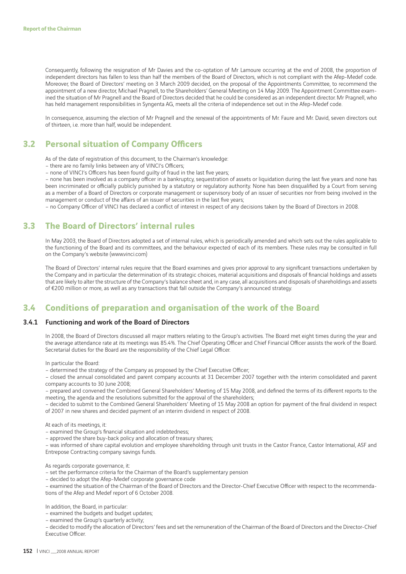Consequently, following the resignation of Mr Davies and the co-optation of Mr Lamoure occurring at the end of 2008, the proportion of independent directors has fallen to less than half the members of the Board of Directors, which is not compliant with the Afep-Medef code. Moreover, the Board of Directors' meeting on 3 March 2009 decided, on the proposal of the Appointments Committee, to recommend the appointment of a new director, Michael Pragnell, to the Shareholders' General Meeting on 14 May 2009. The Appointment Committee examined the situation of Mr Pragnell and the Board of Directors decided that he could be considered as an independent director. Mr Pragnell, who has held management responsibilities in Syngenta AG, meets all the criteria of independence set out in the Afep-Medef code.

In consequence, assuming the election of Mr Pragnell and the renewal of the appointments of Mr. Faure and Mr. David, seven directors out of thirteen, i.e. more than half, would be independent.

### **3.2 Personal situation of Company Officers**

As of the date of registration of this document, to the Chairman's knowledge:

- there are no family links between any of VINCI's Officers;
- none of VINCI's Officers has been found quilty of fraud in the last five years;

– none has been involved as a company officer in a bankruptcy, sequestration of assets or liquidation during the last five years and none has been incriminated or officially publicly punished by a statutory or regulatory authority. None has been disqualified by a Court from serving as a member of a Board of Directors or corporate management or supervisory body of an issuer of securities nor from being involved in the management or conduct of the affairs of an issuer of securities in the last five years;

– no Company Officer of VINCI has declared a conflict of interest in respect of any decisions taken by the Board of Directors in 2008.

### **3.3 The Board of Directors' internal rules**

In May 2003, the Board of Directors adopted a set of internal rules, which is periodically amended and which sets out the rules applicable to the functioning of the Board and its committees, and the behaviour expected of each of its members. These rules may be consulted in full on the Company's website (www.vinci.com)

The Board of Directors' internal rules require that the Board examines and gives prior approval to any significant transactions undertaken by the Company and in particular the determination of its strategic choices, material acquisitions and disposals of financial holdings and assets that are likely to alter the structure of the Company's balance sheet and, in any case, all acquisitions and disposals of shareholdings and assets of €200 million or more, as well as any transactions that fall outside the Company's announced strategy.

## **3.4 Conditions of preparation and organisation of the work of the Board**

### 3.4.1Functioning and work of the Board of Directors

In 2008, the Board of Directors discussed all major matters relating to the Group's activities. The Board met eight times during the year and the average attendance rate at its meetings was 85.4%. The Chief Operating Officer and Chief Financial Officer assists the work of the Board. Secretarial duties for the Board are the responsibility of the Chief Legal Officer.

In particular the Board:

– determined the strategy of the Company as proposed by the Chief Executive Officer;

– closed the annual consolidated and parent company accounts at 31 December 2007 together with the interim consolidated and parent company accounts to 30 June 2008;

– prepared and convened the Combined General Shareholders' Meeting of 15 May 2008, and defined the terms of its different reports to the meeting, the agenda and the resolutions submitted for the approval of the shareholders;

- decided to submit to the Combined General Shareholders' Meeting of 15 May 2008 an option for payment of the final dividend in respect of 2007 in new shares and decided payment of an interim dividend in respect of 2008.

At each of its meetings, it:

- examined the Group's financial situation and indebtedness;
- approved the share buy-back policy and allocation of treasury shares;

– was informed of share capital evolution and employee shareholding through unit trusts in the Castor France, Castor International, ASF and Entrepose Contracting company savings funds.

As regards corporate governance, it:

– set the performance criteria for the Chairman of the Board's supplementary pension

– decided to adopt the Afep-Medef corporate governance code

– examined the situation of the Chairman of the Board of Directors and the Director-Chief Executive Officer with respect to the recommendations of the Afep and Medef report of 6 October 2008.

In addition, the Board, in particular:

– examined the budgets and budget updates;

– examined the Group's quarterly activity;

– decided to modify the allocation of Directors' fees and set the remuneration of the Chairman of the Board of Directors and the Director-Chief Executive Officer.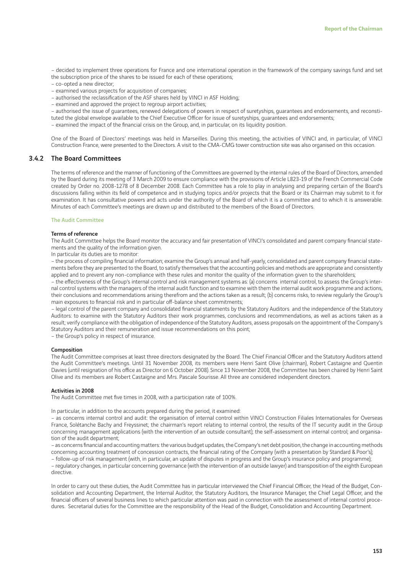– decided to implement three operations for France and one international operation in the framework of the company savings fund and set the subscription price of the shares to be issued for each of these operations;

- co-opted a new director;
- examined various projects for acquisition of companies;
- authorised the reclassification of the ASF shares held by VINCI in ASF Holding;
- examined and approved the project to regroup airport activities;
- authorised the issue of guarantees, renewed delegations of powers in respect of suretyships, guarantees and endorsements, and reconsti-
- tuted the global envelope available to the Chief Executive Officer for issue of suretyships, guarantees and endorsements;
- examined the impact of the financial crisis on the Group, and, in particular, on its liquidity position.

One of the Board of Directors' meetings was held in Marseilles. During this meeting, the activities of VINCI and, in particular, of VINCI Construction France, were presented to the Directors. A visit to the CMA-CMG tower construction site was also organised on this occasion.

### 3.4.2 The Board Committees

The terms of reference and the manner of functioning of the Committees are governed by the internal rules of the Board of Directors, amended by the Board during its meeting of 3 March 2009 to ensure compliance with the provisions of Article L823-19 of the French Commercial Code created by Order no. 2008-1278 of 8 December 2008. Each Committee has a role to play in analysing and preparing certain of the Board's discussions falling within its field of competence and in studying topics and/or projects that the Board or its Chairman may submit to it for examination. It has consultative powers and acts under the authority of the Board of which it is a committee and to which it is answerable. Minutes of each Committee's meetings are drawn up and distributed to the members of the Board of Directors.

### The Audit Committee

### Terms of reference

The Audit Committee helps the Board monitor the accuracy and fair presentation of VINCI's consolidated and parent company financial statements and the quality of the information given.

In particular its duties are to monitor:

– the process of compiling financial information; examine the Group's annual and half-yearly, consolidated and parent company financial statements before they are presented to the Board, to satisfy themselves that the accounting policies and methods are appropriate and consistently applied and to prevent any non-compliance with these rules and monitor the quality of the information given to the shareholders;

– the eff ectiveness of the Group's internal control and risk management systems as: (a) concerns internal control, to assess the Group's internal control systems with the managers of the internal audit function and to examine with them the internal audit work programme and actions, their conclusions and recommendations arising therefrom and the actions taken as a result; (b) concerns risks, to review regularly the Group's main exposures to financial risk and in particular off-balance sheet commitments;

– legal control of the parent company and consolidated fi nancial statements by the Statutory Auditors and the independence of the Statutory Auditors: to examine with the Statutory Auditors their work programmes, conclusions and recommendations, as well as actions taken as a result; verify compliance with the obligation of independence of the Statutory Auditors, assess proposals on the appointment of the Company's Statutory Auditors and their remuneration and issue recommendations on this point;

– the Group's policy in respect of insurance.

### Composition

The Audit Committee comprises at least three directors designated by the Board. The Chief Financial Officer and the Statutory Auditors attend the Audit Committee's meetings. Until 31 November 2008, its members were Henri Saint Olive (chairman), Robert Castaigne and Quentin Davies (until resignation of his office as Director on 6 October 2008). Since 13 November 2008, the Committee has been chaired by Henri Saint Olive and its members are Robert Castaigne and Mrs. Pascale Sourisse. All three are considered independent directors.

### Activities in 2008

The Audit Committee met five times in 2008, with a participation rate of 100%.

In particular, in addition to the accounts prepared during the period, it examined:

– as concerns internal control and audit: the organisation of internal control within VINCI Construction Filiales Internationales for Overseas France, Solétanche Bachy and Freyssinet; the chairman's report relating to internal control, the results of the IT security audit in the Group concerning management applications (with the intervention of an outside consultant); the self-assessment on internal control; and organisation of the audit department;

- as concerns financial and accounting matters: the various budget updates, the Company's net debt position, the change in accounting methods concerning accounting treatment of concession contracts, the financial rating of the Company (with a presentation by Standard & Poor's);

– follow-up of risk management (with, in particular, an update of disputes in progress and the Group's insurance policy and programme);

– regulatory changes, in particular concerning governance (with the intervention of an outside lawyer) and transposition of the eighth European directive.

In order to carry out these duties, the Audit Committee has in particular interviewed the Chief Financial Officer, the Head of the Budget, Consolidation and Accounting Department, the Internal Auditor, the Statutory Auditors, the Insurance Manager, the Chief Legal Officer, and the financial officers of several business lines to which particular attention was paid in connection with the assessment of internal control procedures. Secretarial duties for the Committee are the responsibility of the Head of the Budget, Consolidation and Accounting Department.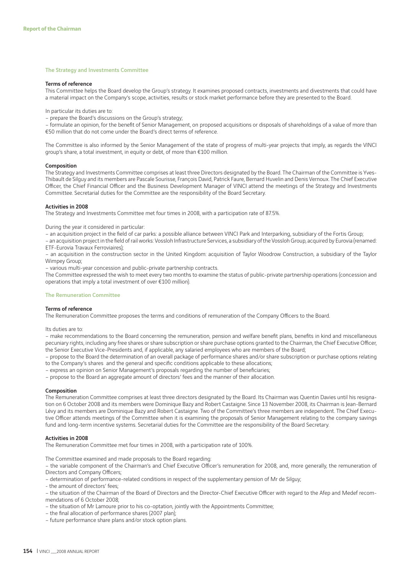#### The Strategy and Investments Committee

#### Terms of reference

This Committee helps the Board develop the Group's strategy. It examines proposed contracts, investments and divestments that could have a material impact on the Company's scope, activities, results or stock market performance before they are presented to the Board.

In particular its duties are to:

– prepare the Board's discussions on the Group's strategy;

– formulate an opinion, for the benefit of Senior Management, on proposed acquisitions or disposals of shareholdings of a value of more than €50 million that do not come under the Board's direct terms of reference.

The Committee is also informed by the Senior Management of the state of progress of multi-year projects that imply, as regards the VINCI group's share, a total investment, in equity or debt, of more than €100 million.

#### Composition

The Strategy and Investments Committee comprises at least three Directors designated by the Board. The Chairman of the Committee is Yves-Thibault de Silguy and its members are Pascale Sourisse, François David, Patrick Faure, Bernard Huvelin and Denis Vernoux. The Chief Executive Officer, the Chief Financial Officer and the Business Development Manager of VINCI attend the meetings of the Strategy and Investments Committee. Secretarial duties for the Committee are the responsibility of the Board Secretary.

### Activities in 2008

The Strategy and Investments Committee met four times in 2008, with a participation rate of 87.5%.

During the year it considered in particular:

– an acquisition project in the field of car parks: a possible alliance between VINCI Park and Interparking, subsidiary of the Fortis Group;

– an acquisition project in the field of rail works: Vossloh Infrastructure Services, a subsidiary of the Vossloh Group, acquired by Eurovia (renamed: ETF-Eurovia Travaux Ferroviaires);

– an acquisition in the construction sector in the United Kingdom: acquisition of Taylor Woodrow Construction, a subsidiary of the Taylor Wimpey Group;

– various multi-year concession and public-private partnership contracts.

The Committee expressed the wish to meet every two months to examine the status of public-private partnership operations (concession and operations that imply a total investment of over €100 million).

### The Remuneration Committee

### Terms of reference

The Remuneration Committee proposes the terms and conditions of remuneration of the Company Officers to the Board.

Its duties are to:

– make recommendations to the Board concerning the remuneration, pension and welfare benefit plans, benefits in kind and miscellaneous pecuniary rights, including any free shares or share subscription or share purchase options granted to the Chairman, the Chief Executive Officer, the Senior Executive Vice-Presidents and, if applicable, any salaried employees who are members of the Board;

– propose to the Board the determination of an overall package of performance shares and/or share subscription or purchase options relating to the Company's shares and the general and specific conditions applicable to these allocations;

– express an opinion on Senior Management's proposals regarding the number of beneficiaries;

– propose to the Board an aggregate amount of directors' fees and the manner of their allocation.

#### Composition

The Remuneration Committee comprises at least three directors designated by the Board. Its Chairman was Quentin Davies until his resignation on 6 October 2008 and its members were Dominique Bazy and Robert Castaigne. Since 13 November 2008, its Chairman is Jean-Bernard Lévy and its members are Dominique Bazy and Robert Castaigne. Two of the Committee's three members are independent. The Chief Executive Officer attends meetings of the Committee when it is examining the proposals of Senior Management relating to the company savings fund and long-term incentive systems. Secretarial duties for the Committee are the responsibility of the Board Secretary.

### Activities in 2008

The Remuneration Committee met four times in 2008, with a participation rate of 100%.

The Committee examined and made proposals to the Board regarding:

– the variable component of the Chairman's and Chief Executive Officer's remuneration for 2008, and, more generally, the remuneration of Directors and Company Officers;

– determination of performance-related conditions in respect of the supplementary pension of Mr de Silguy;

- the amount of directors' fees;

– the situation of the Chairman of the Board of Directors and the Director-Chief Executive Officer with regard to the Afep and Medef recommendations of 6 October 2008;

– the situation of Mr Lamoure prior to his co-optation, jointly with the Appointments Committee;

– the final allocation of performance shares (2007 plan);

– future performance share plans and/or stock option plans.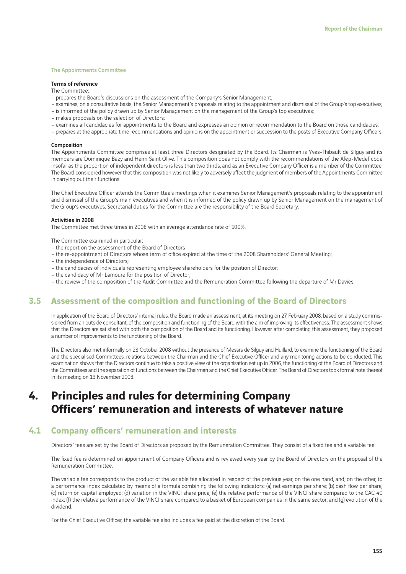#### The Appointments Committee

#### Terms of reference

The Committee:

- prepares the Board's discussions on the assessment of the Company's Senior Management;
- examines, on a consultative basis, the Senior Management's proposals relating to the appointment and dismissal of the Group's top executives;
- is informed of the policy drawn up by Senior Management on the management of the Group's top executives;
- makes proposals on the selection of Directors;
- examines all candidacies for appointments to the Board and expresses an opinion or recommendation to the Board on those candidacies;
- prepares at the appropriate time recommendations and opinions on the appointment or succession to the posts of Executive Company Officers.

### Composition

The Appointments Committee comprises at least three Directors designated by the Board. Its Chairman is Yves-Thibault de Silguy and its members are Dominique Bazy and Henri Saint Olive. This composition does not comply with the recommendations of the Afep-Medef code insofar as the proportion of independent directors is less than two thirds, and as an Executive Company Officer is a member of the Committee. The Board considered however that this composition was not likely to adversely affect the judgment of members of the Appointments Committee in carrying out their functions.

The Chief Executive Officer attends the Committee's meetings when it examines Senior Management's proposals relating to the appointment and dismissal of the Group's main executives and when it is informed of the policy drawn up by Senior Management on the management of the Group's executives. Secretarial duties for the Committee are the responsibility of the Board Secretary.

#### Activities in 2008

The Committee met three times in 2008 with an average attendance rate of 100%.

The Committee examined in particular:

- the report on the assessment of the Board of Directors
- the re-appointment of Directors whose term of office expired at the time of the 2008 Shareholders' General Meeting;
- the independence of Directors;
- the candidacies of individuals representing employee shareholders for the position of Director;
- the candidacy of Mr Lamoure for the position of Director;
- the review of the composition of the Audit Committee and the Remuneration Committee following the departure of Mr Davies.

### **3.5 Assessment of the composition and functioning of the Board of Directors**

In application of the Board of Directors' internal rules, the Board made an assessment, at its meeting on 27 February 2008, based on a study commissioned from an outside consultant, of the composition and functioning of the Board with the aim of improving its effectiveness. The assessment shows that the Directors are satisfied with both the composition of the Board and its functioning. However, after completing this assessment, they proposed a number of improvements to the functioning of the Board.

The Directors also met informally on 23 October 2008 without the presence of Messrs de Silguy and Huillard, to examine the functioning of the Board and the specialised Committees, relations between the Chairman and the Chief Executive Officer and any monitoring actions to be conducted. This examination shows that the Directors continue to take a positive view of the organisation set up in 2006, the functioning of the Board of Directors and the Committees and the separation of functions between the Chairman and the Chief Executive Officer. The Board of Directors took formal note thereof in its meeting on 13 November 2008.

## **4. Principles and rules for determining Company Officers' remuneration and interests of whatever nature**

### **4.1 Company officers' remuneration and interests**

Directors' fees are set by the Board of Directors as proposed by the Remuneration Committee. They consist of a fixed fee and a variable fee.

The fixed fee is determined on appointment of Company Officers and is reviewed every year by the Board of Directors on the proposal of the Remuneration Committee.

The variable fee corresponds to the product of the variable fee allocated in respect of the previous year, on the one hand, and, on the other, to a performance index calculated by means of a formula combining the following indicators: (a) net earnings per share; (b) cash flow per share; (c) return on capital employed; (d) variation in the VINCI share price; (e) the relative performance of the VINCI share compared to the CAC 40 index; (f) the relative performance of the VINCI share compared to a basket of European companies in the same sector; and (g) evolution of the dividend.

For the Chief Executive Officer, the variable fee also includes a fee paid at the discretion of the Board.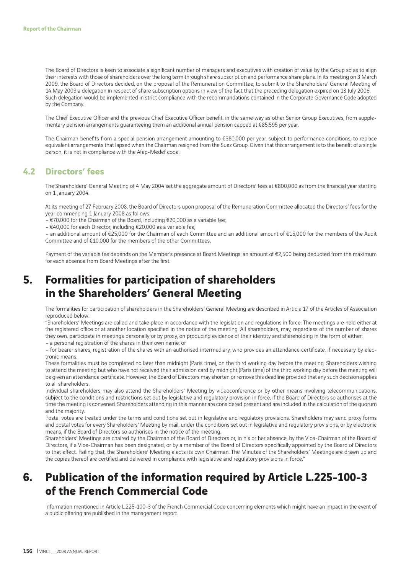The Board of Directors is keen to associate a significant number of managers and executives with creation of value by the Group so as to align their interests with those of shareholders over the long term through share subscription and performance share plans. In its meeting on 3 March 2009, the Board of Directors decided, on the proposal of the Remuneration Committee, to submit to the Shareholders' General Meeting of 14 May 2009 a delegation in respect of share subscription options in view of the fact that the preceding delegation expired on 13 July 2006. Such delegation would be implemented in strict compliance with the recommandations contained in the Corporate Governance Code adopted by the Company.

The Chief Executive Officer and the previous Chief Executive Officer benefit, in the same way as other Senior Group Executives, from supplementary pension arrangements guaranteeing them an additional annual pension capped at €85,595 per year.

The Chairman benefits from a special pension arrangement amounting to €380,000 per year, subject to performance conditions, to replace equivalent arrangements that lapsed when the Chairman resigned from the Suez Group. Given that this arrangement is to the benefit of a single person, it is not in compliance with the Afep-Medef code.

## **4.2 Directors' fees**

The Shareholders' General Meeting of 4 May 2004 set the aggregate amount of Directors' fees at €800,000 as from the financial year starting on 1 January 2004.

At its meeting of 27 February 2008, the Board of Directors upon proposal of the Remuneration Committee allocated the Directors' fees for the year commencing 1 January 2008 as follows:

– €70,000 for the Chairman of the Board, including €20,000 as a variable fee;

– €40,000 for each Director, including €20,000 as a variable fee;

– an additional amount of €25,000 for the Chairman of each Committee and an additional amount of €15,000 for the members of the Audit Committee and of €10,000 for the members of the other Committees.

Payment of the variable fee depends on the Member's presence at Board Meetings, an amount of €2,500 being deducted from the maximum for each absence from Board Meetings after the first.

## **5. Formalities for participation of shareholders in the Shareholders' General Meeting**

The formalities for participation of shareholders in the Shareholders' General Meeting are described in Article 17 of the Articles of Association reproduced below:

"Shareholders' Meetings are called and take place in accordance with the legislation and regulations in force. The meetings are held either at the registered office or at another location specified in the notice of the meeting. All shareholders, may, regardless of the number of shares they own, participate in meetings personally or by proxy, on producing evidence of their identity and shareholding in the form of either:

– a personal registration of the shares in their own name; or

– for bearer shares, registration of the shares with an authorised intermediary, who provides an attendance certificate, if necessary by electronic means.

These formalities must be completed no later than midnight (Paris time), on the third working day before the meeting. Shareholders wishing to attend the meeting but who have not received their admission card by midnight (Paris time) of the third working day before the meeting will be given an attendance certificate. However, the Board of Directors may shorten or remove this deadline provided that any such decision applies to all shareholders.

Individual shareholders may also attend the Shareholders' Meeting by videoconference or by other means involving telecommunications, subject to the conditions and restrictions set out by legislative and regulatory provision in force, if the Board of Directors so authorises at the time the meeting is convened. Shareholders attending in this manner are considered present and are included in the calculation of the quorum and the majority.

Postal votes are treated under the terms and conditions set out in legislative and regulatory provisions. Shareholders may send proxy forms and postal votes for every Shareholders' Meeting by mail, under the conditions set out in legislative and regulatory provisions, or by electronic means, if the Board of Directors so authorises in the notice of the meeting.

Shareholders' Meetings are chaired by the Chairman of the Board of Directors or, in his or her absence, by the Vice-Chairman of the Board of Directors, if a Vice-Chairman has been designated, or by a member of the Board of Directors specifically appointed by the Board of Directors to that effect. Failing that, the Shareholders' Meeting elects its own Chairman. The Minutes of the Shareholders' Meetings are drawn up and the copies thereof are certified and delivered in compliance with legislative and regulatory provisions in force."

## **6. Publication of the information required by Article L.225-100-3 of the French Commercial Code**

Information mentioned in Article L.225-100-3 of the French Commercial Code concerning elements which might have an impact in the event of a public offering are published in the management report.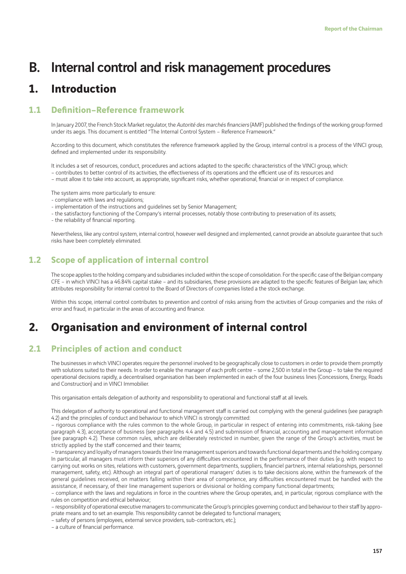# B. Internal control and risk management procedures

## **1. Introduction**

## **1.1 Definition–Reference framework**

In January 2007, the French Stock Market regulator, the Autorité des marchés financiers (AMF) published the findings of the working group formed under its aegis. This document is entitled "The Internal Control System – Reference Framework."

According to this document, which constitutes the reference framework applied by the Group, internal control is a process of the VINCI group, defined and implemented under its responsibility.

It includes a set of resources, conduct, procedures and actions adapted to the specific characteristics of the VINCI group, which:

- contributes to better control of its activities, the effectiveness of its operations and the efficient use of its resources and
- must allow it to take into account, as appropriate, significant risks, whether operational, financial or in respect of compliance.

The system aims more particularly to ensure:

- compliance with laws and regulations;
- implementation of the instructions and guidelines set by Senior Management;
- the satisfactory functioning of the Company's internal processes, notably those contributing to preservation of its assets;
- the reliability of financial reporting.

Nevertheless, like any control system, internal control, however well designed and implemented, cannot provide an absolute guarantee that such risks have been completely eliminated.

## **1.2 Scope of application of internal control**

The scope applies to the holding company and subsidiaries included within the scope of consolidation. For the specific case of the Belgian company CFE – in which VINCI has a 46.84% capital stake – and its subsidiaries, these provisions are adapted to the specifi c features of Belgian law, which attributes responsibility for internal control to the Board of Directors of companies listed a the stock exchange.

Within this scope, internal control contributes to prevention and control of risks arising from the activities of Group companies and the risks of error and fraud, in particular in the areas of accounting and finance.

## **2. Organisation and environment of internal control**

## **2.1 Principles of action and conduct**

The businesses in which VINCI operates require the personnel involved to be geographically close to customers in order to provide them promptly with solutions suited to their needs. In order to enable the manager of each profi t centre – some 2,500 in total in the Group – to take the required operational decisions rapidly, a decentralised organisation has been implemented in each of the four business lines (Concessions, Energy, Roads and Construction) and in VINCI Immobilier.

This organisation entails delegation of authority and responsibility to operational and functional staff at all levels.

This delegation of authority to operational and functional management staff is carried out complying with the general guidelines (see paragraph 4.2) and the principles of conduct and behaviour to which VINCI is strongly committed:

– rigorous compliance with the rules common to the whole Group, in particular in respect of entering into commitments, risk-taking (see paragraph 4.3), acceptance of business (see paragraphs 4.4 and 4.5) and submission of financial, accounting and management information (see paragraph 4.2). These common rules, which are deliberately restricted in number, given the range of the Group's activities, must be strictly applied by the staff concerned and their teams;

– transparency and loyalty of managers towards their line management superiors and towards functional departments and the holding company. In particular, all managers must inform their superiors of any difficulties encountered in the performance of their duties (e.g. with respect to carrying out works on sites, relations with customers, government departments, suppliers, financiel partners, internal relationships, personnel management, safety, etc). Although an integral part of operational managers' duties is to take decisions alone, within the framework of the general guidelines received, on matters falling within their area of competence, any difficulties encountered must be handled with the assistance, if necessary, of their line management superiors or divisional or holding company functional departments;

– compliance with the laws and regulations in force in the countries where the Group operates, and, in particular, rigorous compliance with the rules on competition and ethical behaviour;

– responsibility of operational executive managers to communicate the Group's principles governing conduct and behaviour to their staff by appropriate means and to set an example. This responsibility cannot be delegated to functional managers;

– safety of persons (employees, external service providers, sub-contractors, etc.);

- a culture of financial performance.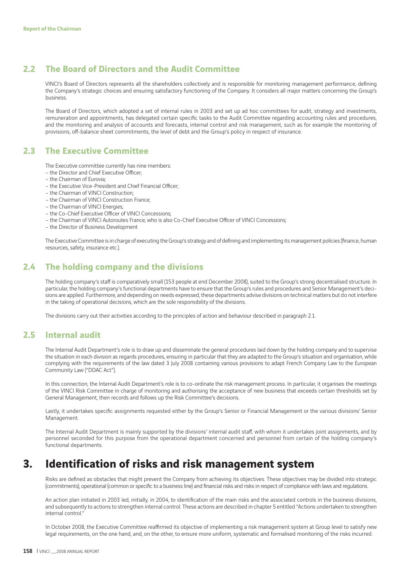## **2.2 The Board of Directors and the Audit Committee**

VINCI's Board of Directors represents all the shareholders collectively and is responsible for monitoring management performance, defining the Company's strategic choices and ensuring satisfactory functioning of the Company. It considers all major matters concerning the Group's business.

The Board of Directors, which adopted a set of internal rules in 2003 and set up ad hoc committees for audit, strategy and investments, remuneration and appointments, has delegated certain specific tasks to the Audit Committee regarding accounting rules and procedures, and the monitoring and analysis of accounts and forecasts, internal control and risk management, such as for example the monitoring of provisions, off -balance sheet commitments, the level of debt and the Group's policy in respect of insurance.

### **2.3 The Executive Committee**

The Executive committee currently has nine members:

- the Director and Chief Executive Officer;
- the Chairman of Eurovia;
- the Executive Vice-President and Chief Financial Officer:
- the Chairman of VINCI Construction;
- the Chairman of VINCI Construction France;
- the Chairman of VINCI Energies;
- the Co-Chief Executive Officer of VINCI Concessions;
- the Chairman of VINCI Autoroutes France, who is also Co-Chief Executive Officer of VINCI Concessions;
- the Director of Business Development

The Executive Committee is in charge of executing the Group's strategy and of defining and implementing its management policies (finance, human resources, safety, insurance etc.).

## **2.4 The holding company and the divisions**

The holding company's staff is comparatively small (153 people at end December 2008), suited to the Group's strong decentralised structure. In particular, the holding company's functional departments have to ensure that the Group's rules and procedures and Senior Management's decisions are applied. Furthermore, and depending on needs expressed, these departments advise divisions on technical matters but do not interfere in the taking of operational decisions, which are the sole responsibility of the divisions.

The divisions carry out their activities according to the principles of action and behaviour described in paragraph 2.1.

### **2.5 Internal audit**

The Internal Audit Department's role is to draw up and disseminate the general procedures laid down by the holding company and to supervise the situation in each division as regards procedures, ensuring in particular that they are adapted to the Group's situation and organisation, while complying with the requirements of the law dated 3 July 2008 containing various provisions to adapt French Company Law to the European Community Law ("DDAC Act").

In this connection, the Internal Audit Department's role is to co-ordinate the risk management process. In particular, it organises the meetings of the VINCI Risk Committee in charge of monitoring and authorising the acceptance of new business that exceeds certain thresholds set by General Management, then records and follows up the Risk Committee's decisions.

Lastly, it undertakes specific assignments requested either by the Group's Senior or Financial Management or the various divisions' Senior Management.

The Internal Audit Department is mainly supported by the divisions' internal audit staff, with whom it undertakes joint assignments, and by personnel seconded for this purpose from the operational department concerned and personnel from certain of the holding company's functional departments.

## **3. Identification of risks and risk management system**

Risks are defined as obstacles that might prevent the Company from achieving its objectives. These objectives may be divided into strategic (commitments), operational (common or specific to a business line) and financial risks and risks in respect of compliance with laws and regulations.

An action plan initiated in 2003 led, initially, in 2004, to identification of the main risks and the associated controls in the business divisions, and subsequently to actions to strengthen internal control. These actions are described in chapter 5 entitled "Actions undertaken to strengthen internal control."

In October 2008, the Executive Committee reaffirmed its objective of implementing a risk management system at Group level to satisfy new legal requirements, on the one hand, and, on the other, to ensure more uniform, systematic and formalised monitoring of the risks incurred.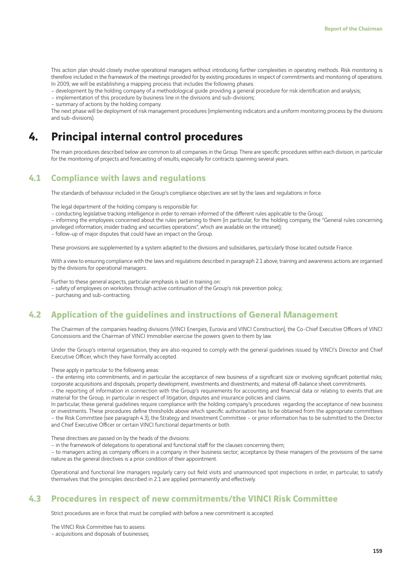This action plan should closely involve operational managers without introducing further complexities in operating methods. Risk monitoring is therefore included in the framework of the meetings provided for by existing procedures in respect of commitments and monitoring of operations. In 2009, we will be establishing a mapping process that includes the following phases:

– development by the holding company of a methodological guide providing a general procedure for risk identification and analysis;

– implementation of this procedure by business line in the divisions and sub-divisions;

– summary of actions by the holding company.

The next phase will be deployment of risk management procedures (implementing indicators and a uniform monitoring process by the divisions and sub-divisions).

## **4. Principal internal control procedures**

The main procedures described below are common to all companies in the Group. There are specific procedures within each division, in particular for the monitoring of projects and forecasting of results, especially for contracts spanning several years.

## **4.1 Compliance with laws and regulations**

The standards of behaviour included in the Group's compliance objectives are set by the laws and regulations in force.

The legal department of the holding company is responsible for:

– conducting legislative tracking intelligence in order to remain informed of the different rules applicable to the Group;

– informing the employees concerned about the rules pertaining to them (in particular, for the holding company, the "General rules concerning privileged information, insider trading and securities operations", which are available on the intranet);

– follow-up of major disputes that could have an impact on the Group.

These provisions are supplemented by a system adapted to the divisions and subsidiaries, particularly those located outside France.

With a view to ensuring compliance with the laws and regulations described in paragraph 2.1 above, training and awareness actions are organised by the divisions for operational managers.

Further to these general aspects, particular emphasis is laid in training on:

– safety of employees on worksites through active continuation of the Group's risk prevention policy;

– purchasing and sub-contracting.

### **4.2 Application of the guidelines and instructions of General Management**

The Chairmen of the companies heading divisions (VINCI Energies, Eurovia and VINCI Construction), the Co-Chief Executive Officers of VINCI Concessions and the Chairman of VINCI Immobilier exercise the powers given to them by law.

Under the Group's internal organisation, they are also required to comply with the general guidelines issued by VINCI's Director and Chief Executive Officer, which they have formally accepted.

These apply in particular to the following areas:

– the entering into commitments, and in particular the acceptance of new business of a significant size or involving significant potential risks; corporate acquisitions and disposals; property development, investments and divestments; and material off -balance sheet commitments.

– the reporting of information in connection with the Group's requirements for accounting and financial data or relating to events that are material for the Group, in particular in respect of litigation, disputes and insurance policies and claims.

In particular, these general guidelines require compliance with the holding company's procedures regarding the acceptance of new business or investments. These procedures define thresholds above which specific authorisation has to be obtained from the appropriate committees – the Risk Committee (see paragraph 4.3), the Strategy and Investment Committee – or prior information has to be submitted to the Director and Chief Executive Officer or certain VINCI functional departments or both.

These directives are passed on by the heads of the divisions:

– in the framework of delegations to operational and functional staff for the clauses concerning them;

– to managers acting as company officers in a company in their business sector; acceptance by these managers of the provisions of the same nature as the general directives is a prior condition of their appointment.

Operational and functional line managers regularly carry out field visits and unannounced spot inspections in order, in particular, to satisfy themselves that the principles described in 2.1 are applied permanently and effectively.

## **4.3 Procedures in respect of new commitments/the VINCI Risk Committee**

Strict procedures are in force that must be complied with before a new commitment is accepted.

The VINCI Risk Committee has to assess: – acquisitions and disposals of businesses;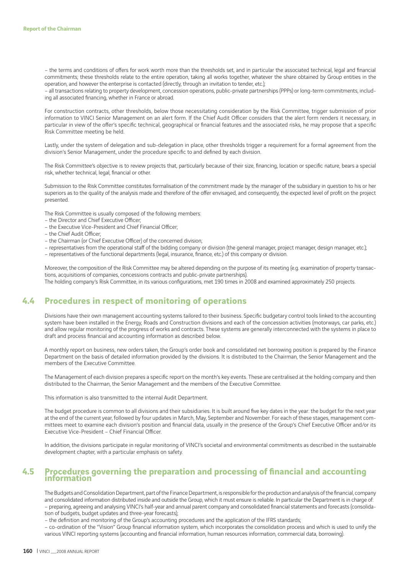– the terms and conditions of offers for work worth more than the thresholds set, and in particular the associated technical, legal and financial commitments; these thresholds relate to the entire operation, taking all works together, whatever the share obtained by Group entities in the operation, and however the enterprise is contacted (directly, through an invitation to tender, etc.);

– all transactions relating to property development, concession operations, public-private partnerships (PPPs) or long-term commitments, including all associated financing, whether in France or abroad.

For construction contracts, other thresholds, below those necessitating consideration by the Risk Committee, trigger submission of prior information to VINCI Senior Management on an alert form. If the Chief Audit Officer considers that the alert form renders it necessary, in particular in view of the offer's specific technical, geographical or financial features and the associated risks, he may propose that a specific Risk Committee meeting be held.

Lastly, under the system of delegation and sub-delegation in place, other thresholds trigger a requirement for a formal agreement from the division's Senior Management, under the procedure specific to and defined by each division.

The Risk Committee's objective is to review projects that, particularly because of their size, financing, location or specific nature, bears a special risk, whether technical, legal, financial or other.

Submission to the Risk Committee constitutes formalisation of the commitment made by the manager of the subsidiary in question to his or her superiors as to the quality of the analysis made and therefore of the offer envisaged, and consequently, the expected level of profit on the project presented.

The Risk Committee is usually composed of the following members:

- the Director and Chief Executive Officer;
- the Executive Vice-President and Chief Financial Officer;
- the Chief Audit Officer;
- the Chairman (or Chief Executive Officer) of the concerned division;
- representatives from the operational staff of the bidding company or division (the general manager, project manager, design manager, etc.);
- representatives of the functional departments (legal, insurance, finance, etc.) of this company or division.

Moreover, the composition of the Risk Committee may be altered depending on the purpose of its meeting (e.g. examination of property transactions, acquisitions of companies, concessions contracts and public-private partnerships).

The holding company's Risk Committee, in its various configurations, met 190 times in 2008 and examined approximately 250 projects.

## **4.4 Procedures in respect of monitoring of operations**

Divisions have their own management accounting systems tailored to their business. Specific budgetary control tools linked to the accounting system have been installed in the Energy, Roads and Construction divisions and each of the concession activities (motorways, car parks, etc.) and allow regular monitoring of the progress of works and contracts. These systems are generally interconnected with the systems in place to draft and process financial and accounting information as described below.

A monthly report on business, new orders taken, the Group's order book and consolidated net borrowing position is prepared by the Finance Department on the basis of detailed information provided by the divisions. It is distributed to the Chairman, the Senior Management and the members of the Executive Committee.

The Management of each division prepares a specific report on the month's key events. These are centralised at the holding company and then distributed to the Chairman, the Senior Management and the members of the Executive Committee.

This information is also transmitted to the internal Audit Department.

The budget procedure is common to all divisions and their subsidiaries. It is built around five key dates in the year: the budget for the next year at the end of the current year, followed by four updates in March, May, September and November. For each of these stages, management committees meet to examine each division's position and financial data, usually in the presence of the Group's Chief Executive Officer and/or its Executive Vice-President – Chief Financial Officer.

In addition, the divisions participate in regular monitoring of VINCI's societal and environmental commitments as described in the sustainable development chapter, with a particular emphasis on safety.

### **4.5 Procedures governing the preparation and processing of financial and accounting information**

The Budgets and Consolidation Department, part of the Finance Department, is responsible for the production and analysis of the financial, company and consolidated information distributed inside and outside the Group, which it must ensure is reliable. In particular the Department is in charge of: - preparing, agreeing and analysing VINCI's half-year and annual parent company and consolidated financial statements and forecasts (consolidation of budgets, budget updates and three-year forecasts);

– the definition and monitoring of the Group's accounting procedures and the application of the IFRS standards;

– co-ordination of the "Vision" Group financial information system, which incorporates the consolidation process and which is used to unify the various VINCI reporting systems (accounting and financial information, human resources information, commercial data, borrowing).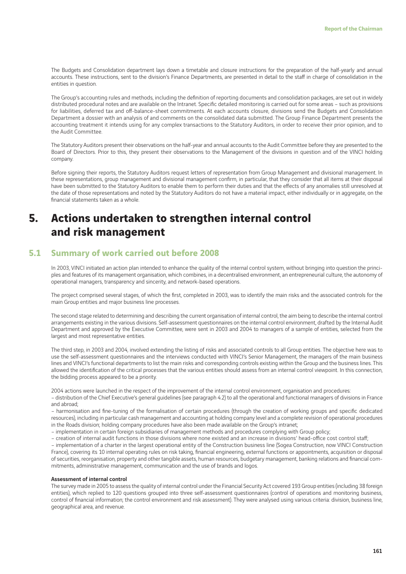The Budgets and Consolidation department lays down a timetable and closure instructions for the preparation of the half-yearly and annual accounts. These instructions, sent to the division's Finance Departments, are presented in detail to the staff in charge of consolidation in the entities in question.

The Group's accounting rules and methods, including the definition of reporting documents and consolidation packages, are set out in widely distributed procedural notes and are available on the Intranet. Specific detailed monitoring is carried out for some areas - such as provisions for liabilities, deferred tax and off-balance-sheet commitments. At each accounts closure, divisions send the Budgets and Consolidation Department a dossier with an analysis of and comments on the consolidated data submitted. The Group Finance Department presents the accounting treatment it intends using for any complex transactions to the Statutory Auditors, in order to receive their prior opinion, and to the Audit Committee.

The Statutory Auditors present their observations on the half-year and annual accounts to the Audit Committee before they are presented to the Board of Directors. Prior to this, they present their observations to the Management of the divisions in question and of the VINCI holding company.

Before signing their reports, the Statutory Auditors request letters of representation from Group Management and divisional management. In these representations, group management and divisional management confirm, in particular, that they consider that all items at their disposal have been submitted to the Statutory Auditors to enable them to perform their duties and that the effects of any anomalies still unresolved at the date of those representations and noted by the Statutory Auditors do not have a material impact, either individually or in aggregate, on the financial statements taken as a whole.

## **5. Actions undertaken to strengthen internal control and risk management**

### **5.1 Summary of work carried out before 2008**

In 2003, VINCI initiated an action plan intended to enhance the quality of the internal control system, without bringing into question the principles and features of its management organisation, which combines, in a decentralised environment, an entrepreneurial culture, the autonomy of operational managers, transparency and sincerity, and network-based operations.

The project comprised several stages, of which the first, completed in 2003, was to identify the main risks and the associated controls for the main Group entities and major business line processes.

The second stage related to determining and describing the current organisation of internal control, the aim being to describe the internal control arrangements existing in the various divisions. Self-assessment questionnaires on the internal control environment, drafted by the Internal Audit Department and approved by the Executive Committee, were sent in 2003 and 2004 to managers of a sample of entities, selected from the largest and most representative entities.

The third step, in 2003 and 2004, involved extending the listing of risks and associated controls to all Group entities. The objective here was to use the self-assessment questionnaires and the interviews conducted with VINCI's Senior Management, the managers of the main business lines and VINCI's functional departments to list the main risks and corresponding controls existing within the Group and the business lines. This allowed the identification of the critical processes that the various entities should assess from an internal control viewpoint. In this connection, the bidding process appeared to be a priority.

2004 actions were launched in the respect of the improvement of the internal control environment, organisation and procedures:

– distribution of the Chief Executive's general guidelines (see paragraph 4.2) to all the operational and functional managers of divisions in France and abroad;

– harmonisation and fine-tuning of the formalisation of certain procedures (through the creation of working groups and specific dedicated resources), including in particular cash management and accounting at holding company level and a complete revision of operational procedures in the Roads division; holding company procedures have also been made available on the Group's intranet;

– implementation in certain foreign subsidiaries of management methods and procedures complying with Group policy;

– creation of internal audit functions in those divisions where none existed and an increase in divisions' head-office cost control staff:

– implementation of a charter in the largest operational entity of the Construction business line (Sogea Construction, now VINCI Construction France), covering its 10 internal operating rules on risk taking, financial engineering, external functions or appointments, acquisition or disposal of securities, reorganisation, property and other tangible assets, human resources, budgetary management, banking relations and financial commitments, administrative management, communication and the use of brands and logos.

#### Assessment of internal control

The survey made in 2005 to assess the quality of internal control under the Financial Security Act covered 193 Group entities (including 38 foreign entities), which replied to 120 questions grouped into three self-assessment questionnaires (control of operations and monitoring business, control of financial information; the control environment and risk assessment). They were analysed using various criteria: division, business line, geographical area, and revenue.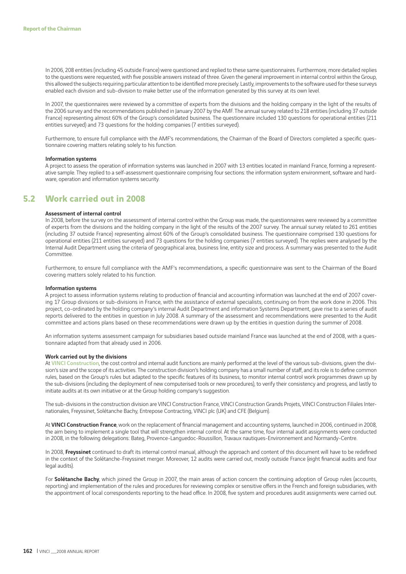In 2006, 208 entities (including 45 outside France) were questioned and replied to these same questionnaires. Furthermore, more detailed replies to the questions were requested, with five possible answers instead of three. Given the general improvement in internal control within the Group, this allowed the subjects requiring particular attention to be identified more precisely. Lastly, improvements to the software used for these surveys enabled each division and sub-division to make better use of the information generated by this survey at its own level.

In 2007, the questionnaires were reviewed by a committee of experts from the divisions and the holding company in the light of the results of the 2006 survey and the recommendations published in January 2007 by the AMF. The annual survey related to 218 entities (including 37 outside France) representing almost 60% of the Group's consolidated business. The questionnaire included 130 questions for operational entities (211 entities surveyed) and 73 questions for the holding companies (7 entities surveyed).

Furthermore, to ensure full compliance with the AMF's recommendations, the Chairman of the Board of Directors completed a specific questionnaire covering matters relating solely to his function.

#### Information systems

A project to assess the operation of information systems was launched in 2007 with 13 entities located in mainland France, forming a representative sample. They replied to a self-assessment questionnaire comprising four sections: the information system environment, software and hardware, operation and information systems security.

### **5.2 Work carried out in 2008**

#### Assessment of internal control

In 2008, before the survey on the assessment of internal control within the Group was made, the questionnaires were reviewed by a committee of experts from the divisions and the holding company in the light of the results of the 2007 survey. The annual survey related to 261 entities (including 37 outside France) representing almost 60% of the Group's consolidated business. The questionnaire comprised 130 questions for operational entities (211 entities surveyed) and 73 questions for the holding companies (7 entities surveyed). The replies were analysed by the Internal Audit Department using the criteria of geographical area, business line, entity size and process. A summary was presented to the Audit **Committee** 

Furthermore, to ensure full compliance with the AMF's recommendations, a specific questionnaire was sent to the Chairman of the Board covering matters solely related to his function.

### Information systems

A project to assess information systems relating to production of financial and accounting information was launched at the end of 2007 covering 17 Group divisions or sub-divisions in France, with the assistance of external specialists, continuing on from the work done in 2006. This project, co-ordinated by the holding company's internal Audit Department and information Systems Department, gave rise to a series of audit reports delivered to the entities in question in July 2008. A summary of the assessment and recommendations were presented to the Audit committee and actions plans based on these recommendations were drawn up by the entities in question during the summer of 2008.

An information systems assessment campaign for subsidiaries based outside mainland France was launched at the end of 2008, with a questionnaire adapted from that already used in 2006.

#### Work carried out by the divisions

At VINCI Construction, the cost control and internal audit functions are mainly performed at the level of the various sub-divisions, given the division's size and the scope of its activities. The construction division's holding company has a small number of staff, and its role is to define common rules, based on the Group's rules but adapted to the specific features of its business, to monitor internal control work programmes drawn up by the sub-divisions (including the deployment of new computerised tools or new procedures), to verify their consistency and progress, and lastly to initiate audits at its own initiative or at the Group holding company's suggestion.

The sub-divisions in the construction division are VINCI Construction France, VINCI Construction Grands Projets, VINCI Construction Filiales Internationales, Freyssinet, Solétanche Bachy, Entrepose Contracting, VINCI plc (UK) and CFE (Belgium).

At VINCI Construction France, work on the replacement of financial management and accounting systems, launched in 2006, continued in 2008, the aim being to implement a single tool that will strengthen internal control. At the same time, four internal audit assignments were conducted in 2008, in the following delegations: Bateg, Provence-Languedoc-Roussillon, Travaux nautiques-Environnement and Normandy-Centre.

In 2008. Freyssinet continued to draft its internal control manual, although the approach and content of this document will have to be redefined in the context of the Solétanche-Freyssinet merger. Moreover, 12 audits were carried out, mostly outside France (eight financial audits and four legal audits).

For Solétanche Bachy, which joined the Group in 2007, the main areas of action concern the continuing adoption of Group rules (accounts, reporting) and implementation of the rules and procedures for reviewing complex or sensitive offers in the French and foreign subsidiaries, with the appointment of local correspondents reporting to the head office. In 2008, five system and procedures audit assignments were carried out.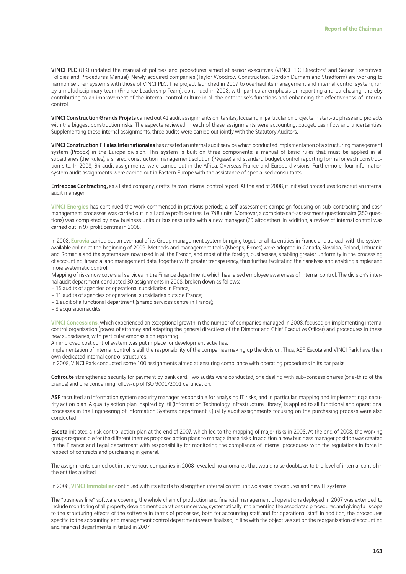VINCI PLC (UK) updated the manual of policies and procedures aimed at senior executives (VINCI PLC Directors' and Senior Executives' Policies and Procedures Manual). Newly acquired companies (Taylor Woodrow Construction, Gordon Durham and Stradform) are working to harmonise their systems with those of VINCI PLC. The project launched in 2007 to overhaul its management and internal control system, run by a multidisciplinary team (Finance Leadership Team), continued in 2008, with particular emphasis on reporting and purchasing, thereby contributing to an improvement of the internal control culture in all the enterprise's functions and enhancing the effectiveness of internal control.

VINCI Construction Grands Projets carried out 41 audit assignments on its sites, focusing in particular on projects in start-up phase and projects with the biggest construction risks. The aspects reviewed in each of these assignments were accounting, budget, cash flow and uncertainties. Supplementing these internal assignments, three audits were carried out jointly with the Statutory Auditors.

VINCI Construction Filiales Internationales has created an internal audit service which conducted implementation of a structuring management system (Probox) in the Europe division. This system is built on three components: a manual of basic rules that must be applied in all subsidiaries (the Rules), a shared construction management solution (Pégase) and standard budget control reporting forms for each construction site. In 2008, 64 audit assignments were carried out in the Africa, Overseas France and Europe divisions. Furthermore, four information system audit assignments were carried out in Eastern Europe with the assistance of specialised consultants.

Entrepose Contracting, as a listed company, drafts its own internal control report. At the end of 2008, it initiated procedures to recruit an internal audit manager.

VINCI Energies has continued the work commenced in previous periods; a self-assessment campaign focusing on sub-contracting and cash management processes was carried out in all active profit centres, i.e. 748 units. Moreover, a complete self-assessment questionnaire (350 questions) was completed by new business units or business units with a new manager (79 altogether). In addition, a review of internal control was carried out in 97 profit centres in 2008.

In 2008, Eurovia carried out an overhaul of its Group management system bringing together all its entities in France and abroad, with the system available online at the beginning of 2009. Methods and management tools (Kheops, Ermes) were adopted in Canada, Slovakia, Poland, Lithuania and Romania and the systems are now used in all the French, and most of the foreign, businesses, enabling greater uniformity in the processing of accounting, financial and management data, together with greater transparency, thus further facilitating their analysis and enabling simpler and more systematic control.

Mapping of risks now covers all services in the Finance department, which has raised employee awareness of internal control. The division's internal audit department conducted 30 assignments in 2008, broken down as follows:

– 15 audits of agencies or operational subsidiaries in France;

– 11 audits of agencies or operational subsidiaries outside France;

– 1 audit of a functional department (shared services centre in France);

– 3 acquisition audits.

VINCI Concessions, which experienced an exceptional growth in the number of companies managed in 2008, focused on implementing internal control organisation (power of attorney and adapting the general directives of the Director and Chief Executive Officer) and procedures in these new subsidiaries, with particular emphasis on reporting.

An improved cost control system was put in place for development activities.

Implementation of internal control is still the responsibility of the companies making up the division. Thus, ASF, Escota and VINCI Park have their own dedicated internal control structures.

In 2008, VINCI Park conducted some 100 assignments aimed at ensuring compliance with operating procedures in its car parks.

Cofiroute strengthened security for payment by bank card. Two audits were conducted, one dealing with sub-concessionaires (one-third of the brands) and one concerning follow-up of ISO 9001/2001 certification.

ASF recruited an information system security manager responsible for analysing IT risks, and in particular, mapping and implementing a security action plan. A quality action plan inspired by Itil (Information Technology Infrastructure Library) is applied to all functional and operational processes in the Engineering of Information Systems department. Quality audit assignments focusing on the purchasing process were also conducted.

Escota initiated a risk control action plan at the end of 2007, which led to the mapping of major risks in 2008. At the end of 2008, the working groups responsible for the different themes proposed action plans to manage these risks. In addition, a new business manager position was created in the Finance and Legal department with responsibility for monitoring the compliance of internal procedures with the regulations in force in respect of contracts and purchasing in general.

The assignments carried out in the various companies in 2008 revealed no anomalies that would raise doubts as to the level of internal control in the entities audited.

In 2008, VINCI Immobilier continued with its efforts to strengthen internal control in two areas: procedures and new IT systems.

The "business line" software covering the whole chain of production and financial management of operations deployed in 2007 was extended to include monitoring of all property development operations under way, systematically implementing the associated procedures and giving full scope to the structuring effects of the software in terms of processes, both for accounting staff and for operational staff. In addition, the procedures specific to the accounting and management control departments were finalised, in line with the objectives set on the reorganisation of accounting and financial departments initiated in 2007.